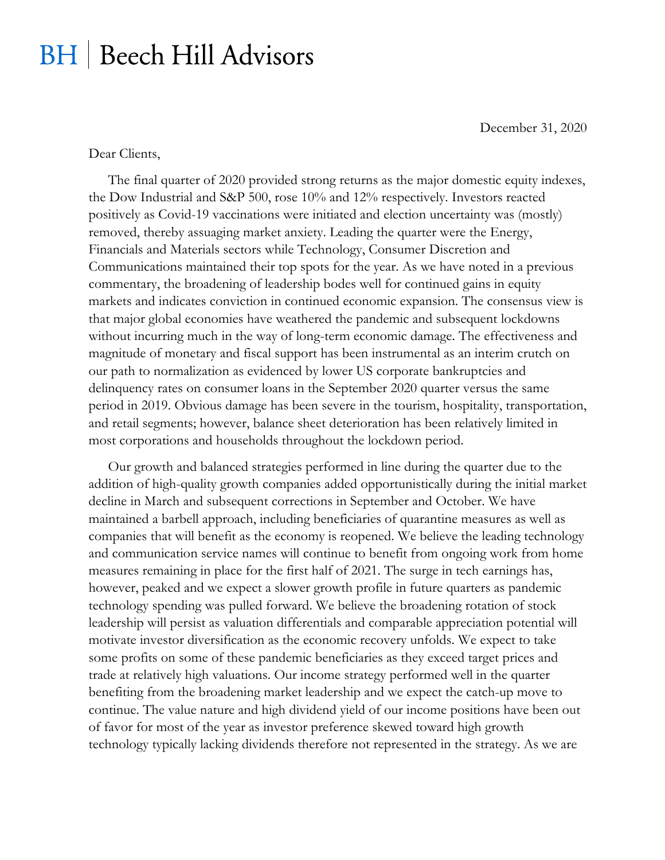## **BH** | Beech Hill Advisors

December 31, 2020

Dear Clients,

The final quarter of 2020 provided strong returns as the major domestic equity indexes, the Dow Industrial and S&P 500, rose 10% and 12% respectively. Investors reacted positively as Covid-19 vaccinations were initiated and election uncertainty was (mostly) removed, thereby assuaging market anxiety. Leading the quarter were the Energy, Financials and Materials sectors while Technology, Consumer Discretion and Communications maintained their top spots for the year. As we have noted in a previous commentary, the broadening of leadership bodes well for continued gains in equity markets and indicates conviction in continued economic expansion. The consensus view is that major global economies have weathered the pandemic and subsequent lockdowns without incurring much in the way of long-term economic damage. The effectiveness and magnitude of monetary and fiscal support has been instrumental as an interim crutch on our path to normalization as evidenced by lower US corporate bankruptcies and delinquency rates on consumer loans in the September 2020 quarter versus the same period in 2019. Obvious damage has been severe in the tourism, hospitality, transportation, and retail segments; however, balance sheet deterioration has been relatively limited in most corporations and households throughout the lockdown period.

Our growth and balanced strategies performed in line during the quarter due to the addition of high-quality growth companies added opportunistically during the initial market decline in March and subsequent corrections in September and October. We have maintained a barbell approach, including beneficiaries of quarantine measures as well as companies that will benefit as the economy is reopened. We believe the leading technology and communication service names will continue to benefit from ongoing work from home measures remaining in place for the first half of 2021. The surge in tech earnings has, however, peaked and we expect a slower growth profile in future quarters as pandemic technology spending was pulled forward. We believe the broadening rotation of stock leadership will persist as valuation differentials and comparable appreciation potential will motivate investor diversification as the economic recovery unfolds. We expect to take some profits on some of these pandemic beneficiaries as they exceed target prices and trade at relatively high valuations. Our income strategy performed well in the quarter benefiting from the broadening market leadership and we expect the catch-up move to continue. The value nature and high dividend yield of our income positions have been out of favor for most of the year as investor preference skewed toward high growth technology typically lacking dividends therefore not represented in the strategy. As we are